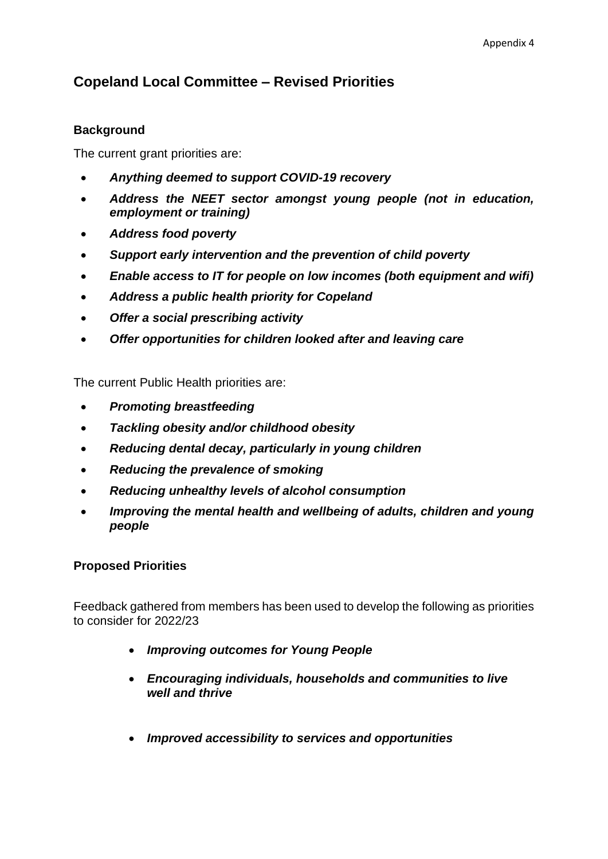## **Copeland Local Committee – Revised Priorities**

## **Background**

The current grant priorities are:

- *Anything deemed to support COVID-19 recovery*
- *Address the NEET sector amongst young people (not in education, employment or training)*
- *Address food poverty*
- *Support early intervention and the prevention of child poverty*
- *Enable access to IT for people on low incomes (both equipment and wifi)*
- *Address a public health priority for Copeland*
- *Offer a social prescribing activity*
- *Offer opportunities for children looked after and leaving care*

The current Public Health priorities are:

- *Promoting breastfeeding*
- *Tackling obesity and/or childhood obesity*
- *Reducing dental decay, particularly in young children*
- *Reducing the prevalence of smoking*
- *Reducing unhealthy levels of alcohol consumption*
- *Improving the mental health and wellbeing of adults, children and young people*

## **Proposed Priorities**

Feedback gathered from members has been used to develop the following as priorities to consider for 2022/23

- *Improving outcomes for Young People*
- *Encouraging individuals, households and communities to live well and thrive*
- *Improved accessibility to services and opportunities*